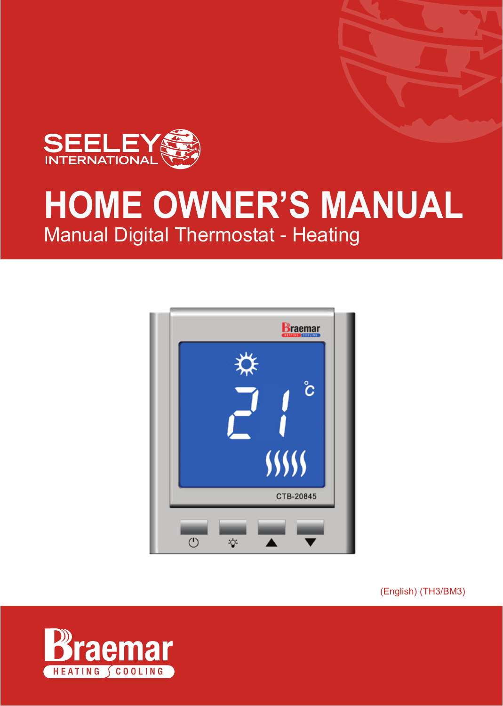

# Manual Digital Thermostat - Heating **HOME OWNER'S MANUAL**



(English) (TH3/BM3)

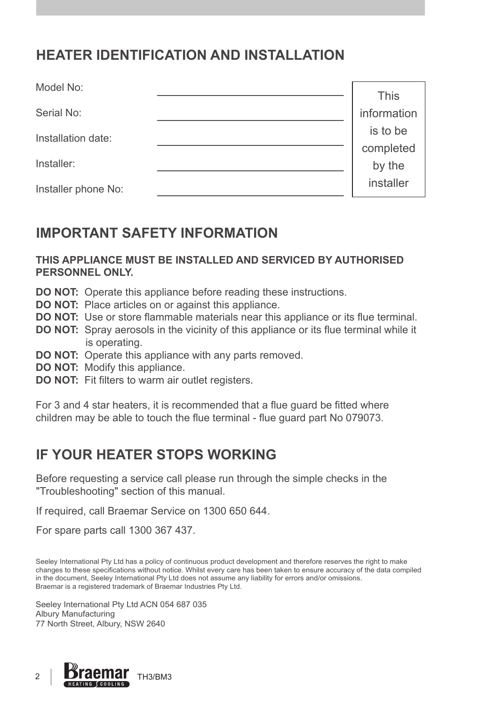# **HEATER IDENTIFICATION AND INSTALLATION**

| Model No:           | <b>This</b> |
|---------------------|-------------|
| Serial No:          | information |
| Installation date:  | is to be    |
|                     | completed   |
| Installer:          | by the      |
| Installer phone No: | installer   |

## **IMPORTANT SAFETY INFORMATION**

#### **THIS APPLIANCE MUST BE INSTALLED AND SERVICED BY AUTHORISED PERSONNEL ONLY.**

- **DO NOT:** Operate this appliance before reading these instructions.
- **DO NOT:** Place articles on or against this appliance.
- **DO NOT:** Use or store flammable materials near this appliance or its flue terminal.
- **DO NOT:** Spray aerosols in the vicinity of this appliance or its flue terminal while it is operating.
- **DO NOT:** Operate this appliance with any parts removed.
- **DO NOT:** Modify this appliance.
- **DO NOT:** Fit filters to warm air outlet registers.

For 3 and 4 star heaters, it is recommended that a flue guard be fitted where children may be able to touch the flue terminal - flue guard part No 079073.

## **IF YOUR HEATER STOPS WORKING**

Before requesting a service call please run through the simple checks in the "Troubleshooting" section of this manual.

If required, call Braemar Service on 1300 650 644.

For spare parts call 1300 367 437.

Seeley International Pty Ltd has a policy of continuous product development and therefore reserves the right to make changes to these specifications without notice. Whilst every care has been taken to ensure accuracy of the data compiled in the document, Seeley International Pty Ltd does not assume any liability for errors and/or omissions. Braemar is a registered trademark of Braemar Industries Pty Ltd.

Seeley International Pty Ltd ACN 054 687 035 Albury Manufacturing 77 North Street, Albury, NSW 2640

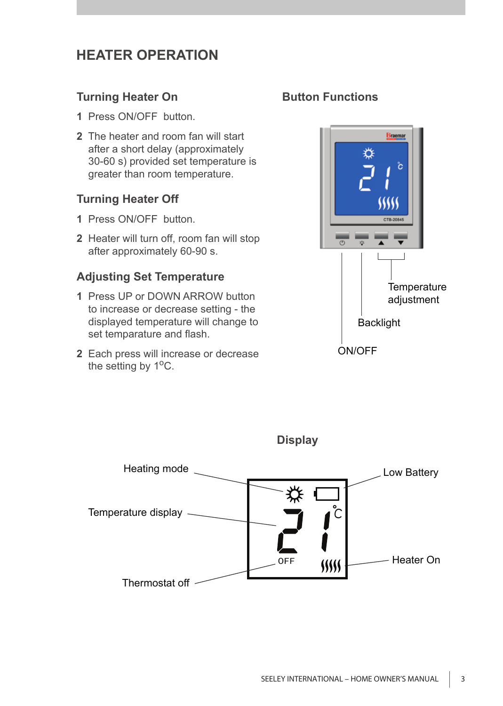# **HEATER OPERATION**

#### **Turning Heater On**

- **1** Press ON/OFF button.
- **2** The heater and room fan will start after a short delay (approximately 30-60 s) provided set temperature is greater than room temperature.

#### **Turning Heater Off**

- **1** Press ON/OFF button.
- **2** Heater will turn off, room fan will stop after approximately 60-90 s.

#### **Adjusting Set Temperature**

- **1** Press UP or DOWN ARROW button to increase or decrease setting - the displayed temperature will change to set temparature and flash.
- **2** Each press will increase or decrease the setting by 1<sup>o</sup>C.

### **Button Functions**





**SEELEY INTERNATIONAL –** HOME OWNER'S MANUAL 3